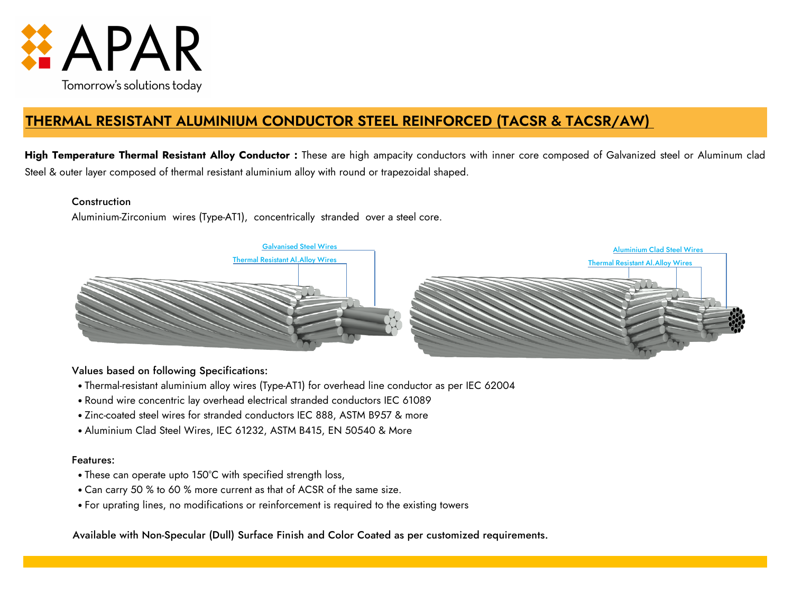

# **THERMAL RESISTANT ALUMINIUM CONDUCTOR STEEL REINFORCED (TACSR & TACSR/AW)**

**High Temperature Thermal Resistant Alloy Conductor :** These are high ampacity conductors with inner core composed of Galvanized steel or Aluminum clad Steel & outer layer composed of thermal resistant aluminium alloy with round or trapezoidal shaped.

### **Construction**

Aluminium-Zirconium wires (Type-AT1), concentrically stranded over a steel core.



## Values based on following Specifications:

- Thermal-resistant aluminium alloy wires (Type-AT1) for overhead line conductor as per IEC 62004
- Round wire concentric lay overhead electrical stranded conductors IEC 61089
- Zinc-coated steel wires for stranded conductors IEC 888, ASTM B957 & more
- Aluminium Clad Steel Wires, IEC 61232, ASTM B415, EN 50540 & More

## Features:

- These can operate upto 150°C with specified strength loss,
- Can carry 50 % to 60 % more current as that of ACSR of the same size.
- For uprating lines, no modifications or reinforcement is required to the existing towers

Available with Non-Specular (Dull) Surface Finish and Color Coated as per customized requirements.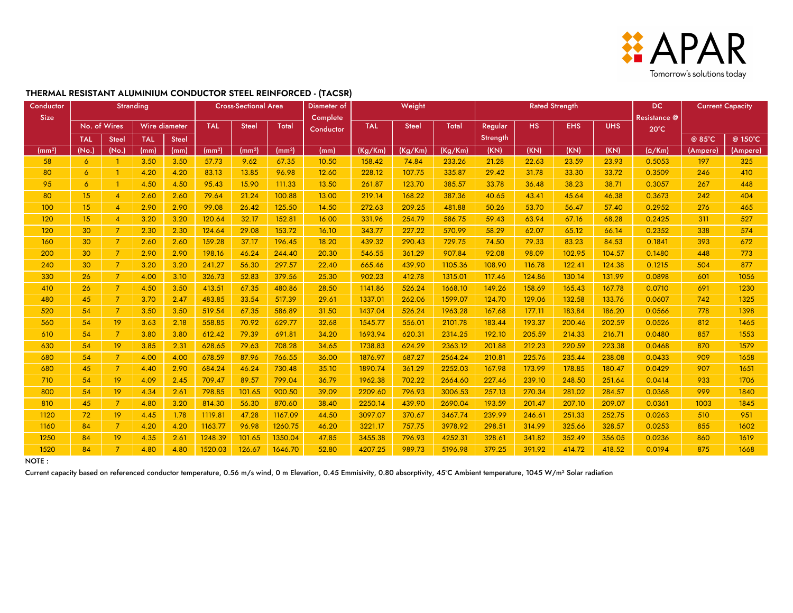

#### **THERMAL RESISTANT ALUMINIUM CONDUCTOR STEEL REINFORCED - (TACSR)**

| Conductor          |                | <b>Stranding</b>         |                      |              | <b>Cross-Sectional Area</b> |                    |                    | Diameter of | Weight     |              |              | <b>Rated Strength</b> |        |            |              | <b>DC</b>      | <b>Current Capacity</b> |          |  |
|--------------------|----------------|--------------------------|----------------------|--------------|-----------------------------|--------------------|--------------------|-------------|------------|--------------|--------------|-----------------------|--------|------------|--------------|----------------|-------------------------|----------|--|
| <b>Size</b>        |                |                          |                      |              |                             |                    | Complete           |             |            |              |              |                       |        |            | Resistance @ |                |                         |          |  |
|                    |                | No. of Wires             | <b>Wire diameter</b> |              | <b>TAL</b>                  | <b>Steel</b>       | <b>Total</b>       | Conductor   | <b>TAL</b> | <b>Steel</b> | <b>Total</b> | Regular               | HS.    | <b>EHS</b> | <b>UHS</b>   | $20^{\circ}$ C |                         |          |  |
|                    | <b>TAL</b>     | Steel                    | <b>TAL</b>           | <b>Steel</b> |                             |                    |                    |             |            |              |              | Strength              |        |            |              |                | @ 85°C                  | @ 150°C  |  |
| (mm <sup>2</sup> ) | (No.           | (No.)                    | (mm)                 | (mm)         | (mm <sup>2</sup> )          | (mm <sup>2</sup> ) | (mm <sup>2</sup> ) | (mm)        | (Kg/Km)    | (Kg/Km)      | (Kg/Km)      | (KN)                  | (KN)   | (KN)       | (KN)         | $(\Omega/Km)$  | (Ampere)                | (Ampere) |  |
| 58                 | $\overline{6}$ |                          | 3.50                 | 3.50         | 57.73                       | 9.62               | 67.35              | 10.50       | 158.42     | 74.84        | 233.26       | 21.28                 | 22.63  | 23.59      | 23.93        | 0.5053         | 197                     | 325      |  |
| 80                 | $\overline{6}$ |                          | 4.20                 | 4.20         | 83.13                       | 13.85              | 96.98              | 12.60       | 228.12     | 107.75       | 335.87       | 29.42                 | 31.78  | 33.30      | 33.72        | 0.3509         | 246                     | 410      |  |
| 95                 | $\overline{6}$ | $\overline{1}$           | 4.50                 | 4.50         | 95.43                       | 15.90              | 111.33             | 13.50       | 261.87     | 123.70       | 385.57       | 33.78                 | 36.48  | 38.23      | 38.71        | 0.3057         | 267                     | 448      |  |
| 80                 | 15             | $\overline{\mathcal{A}}$ | 2.60                 | 2.60         | 79.64                       | 21.24              | 100.88             | 13.00       | 219.14     | 168.22       | 387.36       | 40.65                 | 43.41  | 45.64      | 46.38        | 0.3673         | 242                     | 404      |  |
| 100                | 15             | $\overline{4}$           | 2.90                 | 2.90         | 99.08                       | 26.42              | 125.50             | 14.50       | 272.63     | 209.25       | 481.88       | 50.26                 | 53.70  | 56.47      | 57.40        | 0.2952         | 276                     | 465      |  |
| 120                | 15             | $\overline{4}$           | 3.20                 | 3.20         | 120.64                      | 32.17              | 152.81             | 16.00       | 331.96     | 254.79       | 586.75       | 59.43                 | 63.94  | 67.16      | 68.28        | 0.2425         | 311                     | 527      |  |
| 120                | 30             | $\overline{7}$           | 2.30                 | 2.30         | 124.64                      | 29.08              | 153.72             | 16.10       | 343.77     | 227.22       | 570.99       | 58.29                 | 62.07  | 65.12      | 66.14        | 0.2352         | 338                     | 574      |  |
| 160                | 30             | $\overline{7}$           | 2.60                 | 2.60         | 159.28                      | 37.17              | 196.45             | 18.20       | 439.32     | 290.43       | 729.75       | 74.50                 | 79.33  | 83.23      | 84.53        | 0.1841         | 393                     | 672      |  |
| 200                | 30             | $\overline{7}$           | 2.90                 | 2.90         | 198.16                      | 46.24              | 244.40             | 20.30       | 546.55     | 361.29       | 907.84       | 92.08                 | 98.09  | 102.95     | 104.57       | 0.1480         | 448                     | 773      |  |
| 240                | 30             | $\overline{7}$           | 3.20                 | 3.20         | 241.27                      | 56.30              | 297.57             | 22.40       | 665.46     | 439.90       | 1105.36      | 108.90                | 116.78 | 122.41     | 124.38       | 0.1215         | 504                     | 877      |  |
| 330                | 26             | $\overline{7}$           | 4.00                 | 3.10         | 326.73                      | 52.83              | 379.56             | 25.30       | 902.23     | 412.78       | 1315.01      | 117.46                | 124.86 | 130.14     | 131.99       | 0.0898         | 601                     | 1056     |  |
| 410                | 26             | $\overline{7}$           | 4.50                 | 3.50         | 413.51                      | 67.35              | 480.86             | 28.50       | 1141.86    | 526.24       | 1668.10      | 149.26                | 158.69 | 165.43     | 167.78       | 0.0710         | 691                     | 1230     |  |
| 480                | 45             | 7                        | 3.70                 | 2.47         | 483.85                      | 33.54              | 517.39             | 29.61       | 1337.01    | 262.06       | 1599.07      | 124.70                | 129.06 | 132.58     | 133.76       | 0.0607         | 742                     | 1325     |  |
| 520                | 54             | $\overline{7}$           | 3.50                 | 3.50         | 519.54                      | 67.35              | 586.89             | 31.50       | 1437.04    | 526.24       | 1963.28      | 167.68                | 177.11 | 183.84     | 186.20       | 0.0566         | 778                     | 1398     |  |
| 560                | 54             | 19                       | 3.63                 | 2.18         | 558.85                      | 70.92              | 629.77             | 32.68       | 1545.77    | 556.01       | 2101.78      | 183.44                | 193.37 | 200.46     | 202.59       | 0.0526         | 812                     | 1465     |  |
| 610                | 54             | $\overline{7}$           | 3.80                 | 3.80         | 612.42                      | 79.39              | 691.81             | 34.20       | 1693.94    | 620.31       | 2314.25      | 192.10                | 205.59 | 214.33     | 216.71       | 0.0480         | 857                     | 1553     |  |
| 630                | 54             | 19                       | 3.85                 | 2.31         | 628.65                      | 79.63              | 708.28             | 34.65       | 1738.83    | 624.29       | 2363.12      | 201.88                | 212.23 | 220.59     | 223.38       | 0.0468         | 870                     | 1579     |  |
| 680                | 54             | 7                        | 4.00                 | 4.00         | 678.59                      | 87.96              | 766.55             | 36.00       | 1876.97    | 687.27       | 2564.24      | 210.81                | 225.76 | 235.44     | 238.08       | 0.0433         | 909                     | 1658     |  |
| 680                | 45             | $\overline{7}$           | 4.40                 | 2.90         | 684.24                      | 46.24              | 730.48             | 35.10       | 1890.74    | 361.29       | 2252.03      | 167.98                | 173.99 | 178.85     | 180.47       | 0.0429         | 907                     | 1651     |  |
| 710                | 54             | 19                       | 4.09                 | 2.45         | 709.47                      | 89.57              | 799.04             | 36.79       | 1962.38    | 702.22       | 2664.60      | 227.46                | 239.10 | 248.50     | 251.64       | 0.0414         | 933                     | 1706     |  |
| 800                | 54             | 19                       | 4.34                 | 2.61         | 798.85                      | 101.65             | 900.50             | 39.09       | 2209.60    | 796.93       | 3006.53      | 257.13                | 270.34 | 281.02     | 284.57       | 0.0368         | 999                     | 1840     |  |
| 810                | 45             | $\overline{7}$           | 4.80                 | 3.20         | 814.30                      | 56.30              | 870.60             | 38.40       | 2250.14    | 439.90       | 2690.04      | 193.59                | 201.47 | 207.10     | 209.07       | 0.0361         | 1003                    | 1845     |  |
| 1120               | 72             | 19                       | 4.45                 | 1.78         | 1119.81                     | 47.28              | 1167.09            | 44.50       | 3097.07    | 370.67       | 3467.74      | 239.99                | 246.61 | 251.33     | 252.75       | 0.0263         | 510                     | 951      |  |
| 1160               | 84             | $\overline{7}$           | 4.20                 | 4.20         | 1163.77                     | 96.98              | 1260.75            | 46.20       | 3221.17    | 757.75       | 3978.92      | 298.51                | 314.99 | 325.66     | 328.57       | 0.0253         | 855                     | 1602     |  |
| 1250               | 84             | 19                       | 4.35                 | 2.61         | 1248.39                     | 101.65             | 1350.04            | 47.85       | 3455.38    | 796.93       | 4252.31      | 328.61                | 341.82 | 352.49     | 356.05       | 0.0236         | 860                     | 1619     |  |
| 1520               | 84             | $\overline{7}$           | 4.80                 | 4.80         | 1520.03                     | 126.67             | 1646.70            | 52.80       | 4207.25    | 989.73       | 5196.98      | 379.25                | 391.92 | 414.72     | 418.52       | 0.0194         | 875                     | 1668     |  |

NOTE :

Current capacity based on referenced conductor temperature, 0.56 m/s wind, 0 m Elevation, 0.45 Emmisivity, 0.80 absorptivity, 45°C Ambient temperature, 1045 W/m<sup>2</sup> Solar radiation